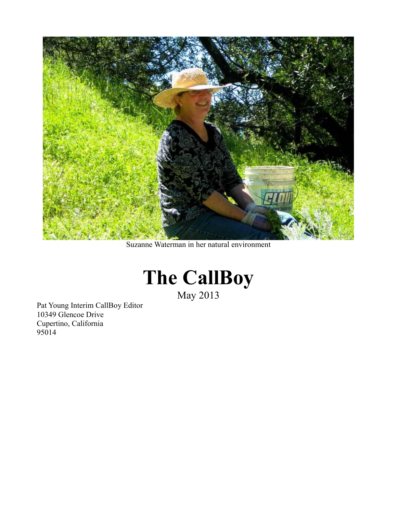

Suzanne Waterman in her natural environment



May 2013

Pat Young Interim CallBoy Editor 10349 Glencoe Drive Cupertino, California 95014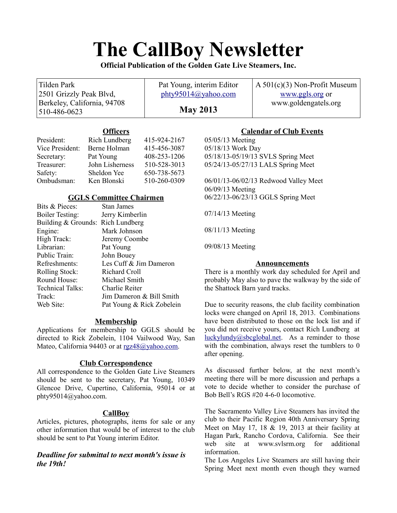# **The CallBoy Newsletter**

**Official Publication of the Golden Gate Live Steamers, Inc.**

#### Tilden Park 2501 Grizzly Peak Blvd, Berkeley, California, 94708 510-486-0623 Pat Young, interim Editor [phty95014@yahoo.com](mailto:phty95014@yahoo.com) **May 2013** A 501(c)(3) Non-Profit Museum [www.ggls.org](http://www.ggls.org/) or www.goldengatels.org

# **Officers**

| President:      | Rich Lundberg   | 415-924-2167 |
|-----------------|-----------------|--------------|
| Vice President: | Berne Holman    | 415-456-3087 |
| Secretary:      | Pat Young       | 408-253-1206 |
| Treasurer:      | John Lisherness | 510-528-3013 |
| Safety:         | Sheldon Yee     | 650-738-5673 |
| Ombudsman:      | Ken Blonski     | 510-260-0309 |

# **GGLS Committee Chairmen**

| Bits & Pieces:                    | <b>Stan James</b>         |
|-----------------------------------|---------------------------|
| <b>Boiler Testing:</b>            | Jerry Kimberlin           |
| Building & Grounds: Rich Lundberg |                           |
| Engine:                           | Mark Johnson              |
| High Track:                       | Jeremy Coombe             |
| Librarian:                        | Pat Young                 |
| Public Train:                     | John Bouey                |
| Refreshments:                     | Les Cuff & Jim Dameron    |
| <b>Rolling Stock:</b>             | Richard Croll             |
| Round House:                      | Michael Smith             |
| <b>Technical Talks:</b>           | Charlie Reiter            |
| Track:                            | Jim Dameron & Bill Smith  |
| Web Site:                         | Pat Young & Rick Zobelein |

# **Membership**

Applications for membership to GGLS should be directed to Rick Zobelein, 1104 Vailwood Way, San Mateo, California 94403 or at [rgz48@yahoo.com.](mailto:rgz48@yahoo.com)

# **Club Correspondence**

All correspondence to the Golden Gate Live Steamers should be sent to the secretary, Pat Young, 10349 Glencoe Drive, Cupertino, California, 95014 or at phty95014@yahoo.com.

# **CallBoy**

Articles, pictures, photographs, items for sale or any other information that would be of interest to the club should be sent to Pat Young interim Editor.

# *Deadline for submittal to next month's issue is the 19th!*

# **Calendar of Club Events**

05/05/13 Meeting 05/18/13 Work Day 05/18/13-05/19/13 SVLS Spring Meet 05/24/13-05/27/13 LALS Spring Meet

06/01/13-06/02/13 Redwood Valley Meet 06/09/13 Meeting 06/22/13-06/23/13 GGLS Spring Meet

07/14/13 Meeting

08/11/13 Meeting

09/08/13 Meeting

# **Announcements**

There is a monthly work day scheduled for April and probably May also to pave the walkway by the side of the Shattock Barn yard tracks.

Due to security reasons, the club facility combination locks were changed on April 18, 2013. Combinations have been distributed to those on the lock list and if you did not receive yours, contact Rich Lundberg at  $\frac{luckylundy@sbcglobal.net}{s}$ . As a reminder to those with the combination, always reset the tumblers to 0 after opening.

As discussed further below, at the next month's meeting there will be more discussion and perhaps a vote to decide whether to consider the purchase of Bob Bell's RGS #20 4-6-0 locomotive.

The Sacramento Valley Live Steamers has invited the club to their Pacific Region 40th Anniversary Spring Meet on May 17, 18  $& 19$ , 2013 at their facility at Hagan Park, Rancho Cordova, California. See their web site at www.svlsrm.org for additional information.

The Los Angeles Live Steamers are still having their Spring Meet next month even though they warned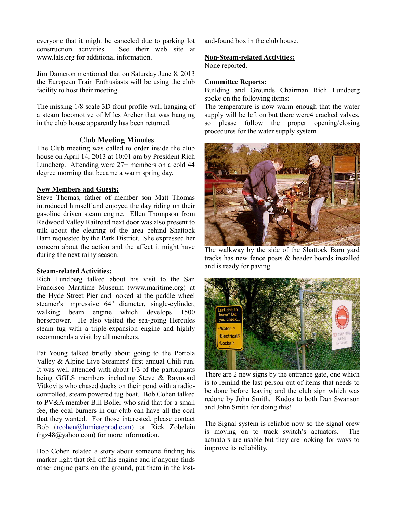everyone that it might be canceled due to parking lot construction activities. See their web site at www.lals.org for additional information.

Jim Dameron mentioned that on Saturday June 8, 2013 the European Train Enthusiasts will be using the club facility to host their meeting.

The missing 1/8 scale 3D front profile wall hanging of a steam locomotive of Miles Archer that was hanging in the club house apparently has been returned.

#### *Club Meeting Minutes*

The Club meeting was called to order inside the club house on April 14, 2013 at 10:01 am by President Rich Lundberg. Attending were 27+ members on a cold 44 degree morning that became a warm spring day.

### **New Members and Guests:**

Steve Thomas, father of member son Matt Thomas introduced himself and enjoyed the day riding on their gasoline driven steam engine. Ellen Thompson from Redwood Valley Railroad next door was also present to talk about the clearing of the area behind Shattock Barn requested by the Park District. She expressed her concern about the action and the affect it might have during the next rainy season.

#### **Steam-related Activities:**

Rich Lundberg talked about his visit to the San Francisco Maritime Museum (www.maritime.org) at the Hyde Street Pier and looked at the paddle wheel steamer's impressive 64" diameter, single-cylinder, walking beam engine which develops 1500 horsepower. He also visited the sea-going Hercules steam tug with a triple-expansion engine and highly recommends a visit by all members.

Pat Young talked briefly about going to the Portola Valley & Alpine Live Steamers' first annual Chili run. It was well attended with about 1/3 of the participants being GGLS members including Steve & Raymond Vitkovits who chased ducks on their pond with a radiocontrolled, steam powered tug boat. Bob Cohen talked to PV&A member Bill Boller who said that for a small fee, the coal burners in our club can have all the coal that they wanted. For those interested, please contact Bob [\(rcohen@lumiereprod.com\)](mailto:rcohen@lumiereprod.com) or Rick Zobelein (rgz48@yahoo.com) for more information.

Bob Cohen related a story about someone finding his marker light that fell off his engine and if anyone finds other engine parts on the ground, put them in the lostand-found box in the club house.

### **Non-Steam-related Activities:**

None reported.

#### **Committee Reports:**

Building and Grounds Chairman Rich Lundberg spoke on the following items:

The temperature is now warm enough that the water supply will be left on but there were4 cracked valves. so please follow the proper opening/closing procedures for the water supply system.



The walkway by the side of the Shattock Barn yard tracks has new fence posts & header boards installed and is ready for paving.



There are 2 new signs by the entrance gate, one which is to remind the last person out of items that needs to be done before leaving and the club sign which was redone by John Smith. Kudos to both Dan Swanson and John Smith for doing this!

The Signal system is reliable now so the signal crew is moving on to track switch's actuators. The actuators are usable but they are looking for ways to improve its reliability.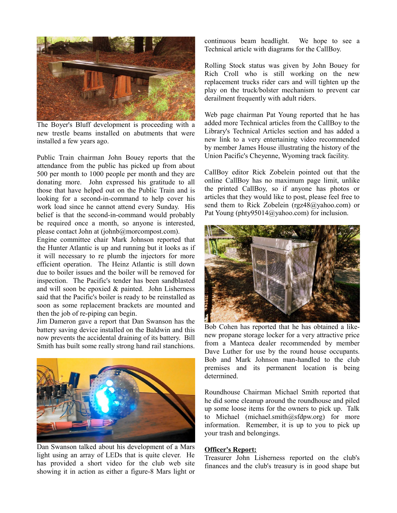

The Boyer's Bluff development is proceeding with a new trestle beams installed on abutments that were installed a few years ago.

Public Train chairman John Bouey reports that the attendance from the public has picked up from about 500 per month to 1000 people per month and they are donating more. John expressed his gratitude to all those that have helped out on the Public Train and is looking for a second-in-command to help cover his work load since he cannot attend every Sunday. His belief is that the second-in-command would probably be required once a month, so anyone is interested, please contact John at (johnb@morcompost.com).

Engine committee chair Mark Johnson reported that the Hunter Atlantic is up and running but it looks as if it will necessary to re plumb the injectors for more efficient operation. The Heinz Atlantic is still down due to boiler issues and the boiler will be removed for inspection. The Pacific's tender has been sandblasted and will soon be epoxied & painted. John Lisherness said that the Pacific's boiler is ready to be reinstalled as soon as some replacement brackets are mounted and then the job of re-piping can begin.

Jim Dameron gave a report that Dan Swanson has the battery saving device installed on the Baldwin and this now prevents the accidental draining of its battery. Bill Smith has built some really strong hand rail stanchions.



Dan Swanson talked about his development of a Mars light using an array of LEDs that is quite clever. He has provided a short video for the club web site showing it in action as either a figure-8 Mars light or

continuous beam headlight. We hope to see a Technical article with diagrams for the CallBoy.

Rolling Stock status was given by John Bouey for Rich Croll who is still working on the new replacement trucks rider cars and will tighten up the play on the truck/bolster mechanism to prevent car derailment frequently with adult riders.

Web page chairman Pat Young reported that he has added more Technical articles from the CallBoy to the Library's Technical Articles section and has added a new link to a very entertaining video recommended by member James House illustrating the history of the Union Pacific's Cheyenne, Wyoming track facility.

CallBoy editor Rick Zobelein pointed out that the online CallBoy has no maximum page limit, unlike the printed CallBoy, so if anyone has photos or articles that they would like to post, please feel free to send them to Rick Zobelein (rgz48@yahoo.com) or Pat Young (phty95014@yahoo.com) for inclusion.



Bob Cohen has reported that he has obtained a likenew propane storage locker for a very attractive price from a Manteca dealer recommended by member Dave Luther for use by the round house occupants. Bob and Mark Johnson man-handled to the club premises and its permanent location is being determined.

Roundhouse Chairman Michael Smith reported that he did some cleanup around the roundhouse and piled up some loose items for the owners to pick up. Talk to Michael (michael.smith@sfdpw.org) for more information. Remember, it is up to you to pick up your trash and belongings.

#### **Officer's Report:**

Treasurer John Lisherness reported on the club's finances and the club's treasury is in good shape but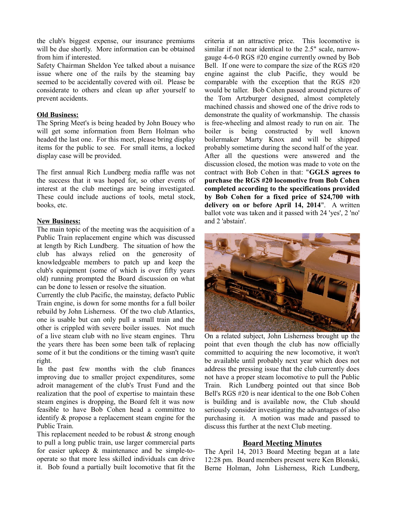the club's biggest expense, our insurance premiums will be due shortly. More information can be obtained from him if interested.

Safety Chairman Sheldon Yee talked about a nuisance issue where one of the rails by the steaming bay seemed to be accidentally covered with oil. Please be considerate to others and clean up after yourself to prevent accidents.

#### **Old Business:**

The Spring Meet's is being headed by John Bouey who will get some information from Bern Holman who headed the last one. For this meet, please bring display items for the public to see. For small items, a locked display case will be provided.

The first annual Rich Lundberg media raffle was not the success that it was hoped for, so other events of interest at the club meetings are being investigated. These could include auctions of tools, metal stock, books, etc.

#### **New Business:**

The main topic of the meeting was the acquisition of a Public Train replacement engine which was discussed at length by Rich Lundberg. The situation of how the club has always relied on the generosity of knowledgeable members to patch up and keep the club's equipment (some of which is over fifty years old) running prompted the Board discussion on what can be done to lessen or resolve the situation.

Currently the club Pacific, the mainstay, defacto Public Train engine, is down for some months for a full boiler rebuild by John Lisherness. Of the two club Atlantics, one is usable but can only pull a small train and the other is crippled with severe boiler issues. Not much of a live steam club with no live steam engines. Thru the years there has been some been talk of replacing some of it but the conditions or the timing wasn't quite right.

In the past few months with the club finances improving due to smaller project expenditures, some adroit management of the club's Trust Fund and the realization that the pool of expertise to maintain these steam engines is dropping, the Board felt it was now feasible to have Bob Cohen head a committee to identify & propose a replacement steam engine for the Public Train.

This replacement needed to be robust & strong enough to pull a long public train, use larger commercial parts for easier upkeep & maintenance and be simple-tooperate so that more less skilled individuals can drive it. Bob found a partially built locomotive that fit the criteria at an attractive price. This locomotive is similar if not near identical to the 2.5" scale, narrowgauge 4-6-0 RGS #20 engine currently owned by Bob Bell. If one were to compare the size of the RGS #20 engine against the club Pacific, they would be comparable with the exception that the RGS #20 would be taller. Bob Cohen passed around pictures of the Tom Artzburger designed, almost completely machined chassis and showed one of the drive rods to demonstrate the quality of workmanship. The chassis is free-wheeling and almost ready to run on air. The boiler is being constructed by well known boilermaker Marty Knox and will be shipped probably sometime during the second half of the year. After all the questions were answered and the discussion closed, the motion was made to vote on the contract with Bob Cohen in that: "**GGLS agrees to purchase the RGS #20 locomotive from Bob Cohen completed according to the specifications provided by Bob Cohen for a fixed price of \$24,700 with delivery on or before April 14, 2014**". A written ballot vote was taken and it passed with 24 'yes', 2 'no' and 2 'abstain'.



On a related subject, John Lisherness brought up the point that even though the club has now officially committed to acquiring the new locomotive, it won't be available until probably next year which does not address the pressing issue that the club currently does not have a proper steam locomotive to pull the Public Train. Rich Lundberg pointed out that since Bob Bell's RGS #20 is near identical to the one Bob Cohen is building and is available now, the Club should seriously consider investigating the advantages of also purchasing it. A motion was made and passed to discuss this further at the next Club meeting.

#### **Board Meeting Minutes**

The April 14, 2013 Board Meeting began at a late 12:28 pm. Board members present were Ken Blonski, Berne Holman, John Lisherness, Rich Lundberg,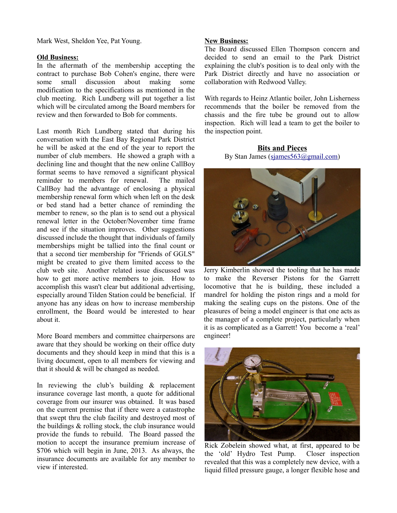Mark West, Sheldon Yee, Pat Young.

#### **Old Business:**

In the aftermath of the membership accepting the contract to purchase Bob Cohen's engine, there were some small discussion about making some modification to the specifications as mentioned in the club meeting. Rich Lundberg will put together a list which will be circulated among the Board members for review and then forwarded to Bob for comments.

Last month Rich Lundberg stated that during his conversation with the East Bay Regional Park District he will be asked at the end of the year to report the number of club members. He showed a graph with a declining line and thought that the new online CallBoy format seems to have removed a significant physical reminder to members for renewal. The mailed CallBoy had the advantage of enclosing a physical membership renewal form which when left on the desk or bed stand had a better chance of reminding the member to renew, so the plan is to send out a physical renewal letter in the October/November time frame and see if the situation improves. Other suggestions discussed include the thought that individuals of family memberships might be tallied into the final count or that a second tier membership for "Friends of GGLS" might be created to give them limited access to the club web site. Another related issue discussed was how to get more active members to join. How to accomplish this wasn't clear but additional advertising, especially around Tilden Station could be beneficial. If anyone has any ideas on how to increase membership enrollment, the Board would be interested to hear about it.

More Board members and committee chairpersons are aware that they should be working on their office duty documents and they should keep in mind that this is a living document, open to all members for viewing and that it should  $&$  will be changed as needed.

In reviewing the club's building & replacement insurance coverage last month, a quote for additional coverage from our insurer was obtained. It was based on the current premise that if there were a catastrophe that swept thru the club facility and destroyed most of the buildings & rolling stock, the club insurance would provide the funds to rebuild. The Board passed the motion to accept the insurance premium increase of \$706 which will begin in June, 2013. As always, the insurance documents are available for any member to view if interested.

#### **New Business:**

The Board discussed Ellen Thompson concern and decided to send an email to the Park District explaining the club's position is to deal only with the Park District directly and have no association or collaboration with Redwood Valley.

With regards to Heinz Atlantic boiler, John Lisherness recommends that the boiler be removed from the chassis and the fire tube be ground out to allow inspection. Rich will lead a team to get the boiler to the inspection point.

**Bits and Pieces** By Stan James [\(sjames563@gmail.com\)](mailto:sjames563@gmail.com)



Jerry Kimberlin showed the tooling that he has made to make the Reverser Pistons for the Garrett locomotive that he is building, these included a mandrel for holding the piston rings and a mold for making the sealing cups on the pistons. One of the pleasures of being a model engineer is that one acts as the manager of a complete project, particularly when it is as complicated as a Garrett! You become a 'real' engineer!



Rick Zobelein showed what, at first, appeared to be the 'old' Hydro Test Pump. Closer inspection revealed that this was a completely new device, with a liquid filled pressure gauge, a longer flexible hose and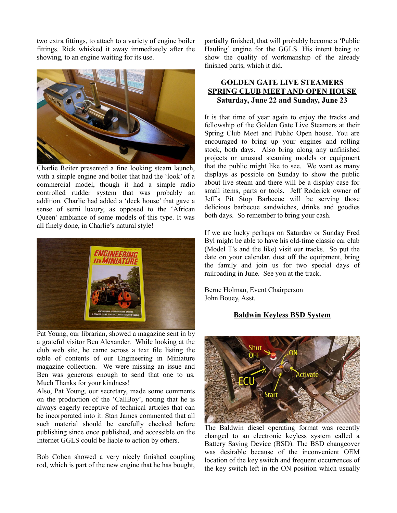two extra fittings, to attach to a variety of engine boiler fittings. Rick whisked it away immediately after the showing, to an engine waiting for its use.



Charlie Reiter presented a fine looking steam launch, with a simple engine and boiler that had the 'look' of a commercial model, though it had a simple radio controlled rudder system that was probably an addition. Charlie had added a 'deck house' that gave a sense of semi luxury, as opposed to the 'African Queen' ambiance of some models of this type. It was all finely done, in Charlie's natural style!



Pat Young, our librarian, showed a magazine sent in by a grateful visitor Ben Alexander. While looking at the club web site, he came across a text file listing the table of contents of our Engineering in Miniature magazine collection. We were missing an issue and Ben was generous enough to send that one to us. Much Thanks for your kindness!

Also, Pat Young, our secretary, made some comments on the production of the 'CallBoy', noting that he is always eagerly receptive of technical articles that can be incorporated into it. Stan James commented that all such material should be carefully checked before publishing since once published, and accessible on the Internet GGLS could be liable to action by others.

Bob Cohen showed a very nicely finished coupling rod, which is part of the new engine that he has bought, partially finished, that will probably become a 'Public Hauling' engine for the GGLS. His intent being to show the quality of workmanship of the already finished parts, which it did.

# **GOLDEN GATE LIVE STEAMERS SPRING CLUB MEET AND OPEN HOUSE Saturday, June 22 and Sunday, June 23**

It is that time of year again to enjoy the tracks and fellowship of the Golden Gate Live Steamers at their Spring Club Meet and Public Open house. You are encouraged to bring up your engines and rolling stock, both days. Also bring along any unfinished projects or unusual steaming models or equipment that the public might like to see. We want as many displays as possible on Sunday to show the public about live steam and there will be a display case for small items, parts or tools. Jeff Roderick owner of Jeff's Pit Stop Barbecue will be serving those delicious barbecue sandwiches, drinks and goodies both days. So remember to bring your cash.

If we are lucky perhaps on Saturday or Sunday Fred Byl might be able to have his old-time classic car club (Model T's and the like) visit our tracks. So put the date on your calendar, dust off the equipment, bring the family and join us for two special days of railroading in June. See you at the track.

Berne Holman, Event Chairperson John Bouey, Asst.

# **Baldwin Keyless BSD System**



The Baldwin diesel operating format was recently changed to an electronic keyless system called a Battery Saving Device (BSD). The BSD changeover was desirable because of the inconvenient OEM location of the key switch and frequent occurrences of the key switch left in the ON position which usually